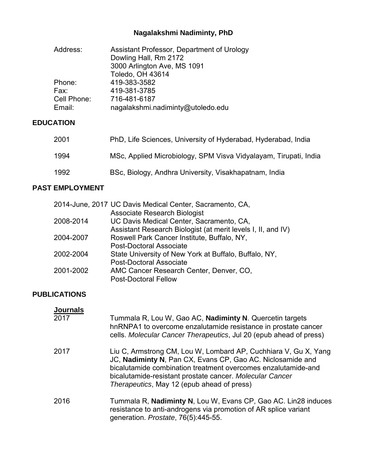# **Nagalakshmi Nadiminty, PhD**

| Assistant Professor, Department of Urology |
|--------------------------------------------|
|                                            |
|                                            |
|                                            |
|                                            |
|                                            |

## **EDUCATION**

| 2001 | PhD, Life Sciences, University of Hyderabad, Hyderabad, India    |
|------|------------------------------------------------------------------|
| 1994 | MSc, Applied Microbiology, SPM Visva Vidyalayam, Tirupati, India |
| 1992 | BSc, Biology, Andhra University, Visakhapatnam, India            |

## **PAST EMPLOYMENT**

|           | 2014-June, 2017 UC Davis Medical Center, Sacramento, CA,     |
|-----------|--------------------------------------------------------------|
|           | <b>Associate Research Biologist</b>                          |
| 2008-2014 | UC Davis Medical Center, Sacramento, CA,                     |
|           | Assistant Research Biologist (at merit levels I, II, and IV) |
| 2004-2007 | Roswell Park Cancer Institute, Buffalo, NY,                  |
|           | <b>Post-Doctoral Associate</b>                               |
| 2002-2004 | State University of New York at Buffalo, Buffalo, NY,        |
|           | Post-Doctoral Associate                                      |
| 2001-2002 | AMC Cancer Research Center, Denver, CO,                      |
|           | <b>Post-Doctoral Fellow</b>                                  |
|           |                                                              |

# **PUBLICATIONS**

| <b>Journals</b> |                                                                                                                                                                                                                                                                                                          |
|-----------------|----------------------------------------------------------------------------------------------------------------------------------------------------------------------------------------------------------------------------------------------------------------------------------------------------------|
| 2017            | Tummala R, Lou W, Gao AC, Nadiminty N. Quercetin targets<br>hnRNPA1 to overcome enzalutamide resistance in prostate cancer<br>cells. Molecular Cancer Therapeutics, Jul 20 (epub ahead of press)                                                                                                         |
| 2017            | Liu C, Armstrong CM, Lou W, Lombard AP, Cuchhiara V, Gu X, Yang<br>JC, Nadiminty N, Pan CX, Evans CP, Gao AC. Niclosamide and<br>bicalutamide combination treatment overcomes enzalutamide-and<br>bicalutamide-resistant prostate cancer. Molecular Cancer<br>Therapeutics, May 12 (epub ahead of press) |
| 2016            | Tummala R, Nadiminty N, Lou W, Evans CP, Gao AC. Lin28 induces<br>resistance to anti-androgens via promotion of AR splice variant<br>generation. Prostate, 76(5):445-55.                                                                                                                                 |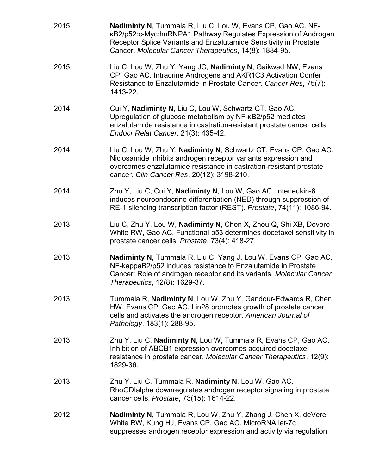| 2015 | Nadiminty N, Tummala R, Liu C, Lou W, Evans CP, Gao AC. NF-<br>KB2/p52:c-Myc:hnRNPA1 Pathway Regulates Expression of Androgen<br>Receptor Splice Variants and Enzalutamide Sensitivity in Prostate<br>Cancer. Molecular Cancer Therapeutics, 14(8): 1884-95. |
|------|--------------------------------------------------------------------------------------------------------------------------------------------------------------------------------------------------------------------------------------------------------------|
| 2015 | Liu C, Lou W, Zhu Y, Yang JC, Nadiminty N, Gaikwad NW, Evans<br>CP, Gao AC. Intracrine Androgens and AKR1C3 Activation Confer<br>Resistance to Enzalutamide in Prostate Cancer. Cancer Res, 75(7):<br>1413-22.                                               |
| 2014 | Cui Y, Nadiminty N, Liu C, Lou W, Schwartz CT, Gao AC.<br>Upregulation of glucose metabolism by NF-KB2/p52 mediates<br>enzalutamide resistance in castration-resistant prostate cancer cells.<br>Endocr Relat Cancer, 21(3): 435-42.                         |
| 2014 | Liu C, Lou W, Zhu Y, Nadiminty N, Schwartz CT, Evans CP, Gao AC.<br>Niclosamide inhibits androgen receptor variants expression and<br>overcomes enzalutamide resistance in castration-resistant prostate<br>cancer. Clin Cancer Res, 20(12): 3198-210.       |
| 2014 | Zhu Y, Liu C, Cui Y, Nadiminty N, Lou W, Gao AC. Interleukin-6<br>induces neuroendocrine differentiation (NED) through suppression of<br>RE-1 silencing transcription factor (REST). Prostate, 74(11): 1086-94.                                              |
| 2013 | Liu C, Zhu Y, Lou W, Nadiminty N, Chen X, Zhou Q, Shi XB, Devere<br>White RW, Gao AC. Functional p53 determines docetaxel sensitivity in<br>prostate cancer cells. Prostate, 73(4): 418-27.                                                                  |
| 2013 | Nadiminty N, Tummala R, Liu C, Yang J, Lou W, Evans CP, Gao AC.<br>NF-kappaB2/p52 induces resistance to Enzalutamide in Prostate<br>Cancer: Role of androgen receptor and its variants. Molecular Cancer<br>Therapeutics, 12(8): 1629-37.                    |
| 2013 | Tummala R, Nadiminty N, Lou W, Zhu Y, Gandour-Edwards R, Chen<br>HW, Evans CP, Gao AC. Lin28 promotes growth of prostate cancer<br>cells and activates the androgen receptor. American Journal of<br>Pathology, 183(1): 288-95.                              |
| 2013 | Zhu Y, Liu C, Nadiminty N, Lou W, Tummala R, Evans CP, Gao AC.<br>Inhibition of ABCB1 expression overcomes acquired docetaxel<br>resistance in prostate cancer. Molecular Cancer Therapeutics, 12(9):<br>1829-36.                                            |
| 2013 | Zhu Y, Liu C, Tummala R, Nadiminty N, Lou W, Gao AC.<br>RhoGDIalpha downregulates androgen receptor signaling in prostate<br>cancer cells. Prostate, 73(15): 1614-22.                                                                                        |
| 2012 | <b>Nadiminty N, Tummala R, Lou W, Zhu Y, Zhang J, Chen X, deVere</b><br>White RW, Kung HJ, Evans CP, Gao AC. MicroRNA let-7c<br>suppresses androgen receptor expression and activity via regulation                                                          |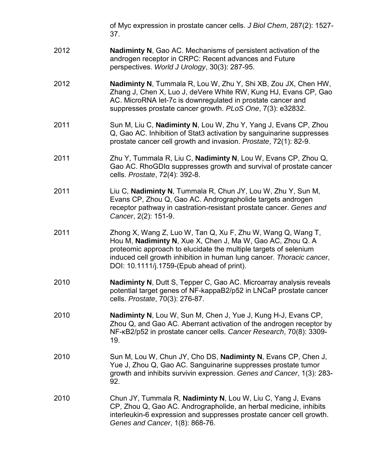of Myc expression in prostate cancer cells. *J Biol Chem*, 287(2): 1527- 37.

- 2012 **Nadiminty N**, Gao AC. Mechanisms of persistent activation of the androgen receptor in CRPC: Recent advances and Future perspectives. *World J Urology*, 30(3): 287-95.
- 2012 **Nadiminty N**, Tummala R, Lou W, Zhu Y, Shi XB, Zou JX, Chen HW, Zhang J, Chen X, Luo J, deVere White RW, Kung HJ, Evans CP, Gao AC. MicroRNA let-7c is downregulated in prostate cancer and suppresses prostate cancer growth. *PLoS One*, 7(3): e32832.
- 2011 Sun M, Liu C, **Nadiminty N**, Lou W, Zhu Y, Yang J, Evans CP, Zhou Q, Gao AC. Inhibition of Stat3 activation by sanguinarine suppresses prostate cancer cell growth and invasion. *Prostate*, 72(1): 82-9.
- 2011 Zhu Y, Tummala R, Liu C, **Nadiminty N**, Lou W, Evans CP, Zhou Q, Gao AC. RhoGDIα suppresses growth and survival of prostate cancer cells. *Prostate*, 72(4): 392-8.
- 2011 Liu C, **Nadiminty N**, Tummala R, Chun JY, Lou W, Zhu Y, Sun M, Evans CP, Zhou Q, Gao AC. Andrographolide targets androgen receptor pathway in castration-resistant prostate cancer. *Genes and Cancer*, 2(2): 151-9.
- 2011 Zhong X, Wang Z, Luo W, Tan Q, Xu F, Zhu W, Wang Q, Wang T, Hou M, **Nadiminty N**, Xue X, Chen J, Ma W, Gao AC, Zhou Q. A proteomic approach to elucidate the multiple targets of selenium induced cell growth inhibition in human lung cancer. *Thoracic cancer*, DOI: 10.1111/j.1759-(Epub ahead of print).
- 2010 **Nadiminty N**, Dutt S, Tepper C, Gao AC. Microarray analysis reveals potential target genes of NF-kappaB2/p52 in LNCaP prostate cancer cells. *Prostate*, 70(3): 276-87.
- 2010 **Nadiminty N**, Lou W, Sun M, Chen J, Yue J, Kung H-J, Evans CP, Zhou Q, and Gao AC. Aberrant activation of the androgen receptor by NF-κB2/p52 in prostate cancer cells. *Cancer Research*, 70(8): 3309- 19.
- 2010 Sun M, Lou W, Chun JY, Cho DS, **Nadiminty N**, Evans CP, Chen J, Yue J, Zhou Q, Gao AC. Sanguinarine suppresses prostate tumor growth and inhibits survivin expression. *Genes and Cancer*, 1(3): 283- 92.
- 2010 Chun JY, Tummala R, **Nadiminty N**, Lou W, Liu C, Yang J, Evans CP, Zhou Q, Gao AC. Andrographolide, an herbal medicine, inhibits interleukin-6 expression and suppresses prostate cancer cell growth. *Genes and Cancer*, 1(8): 868-76.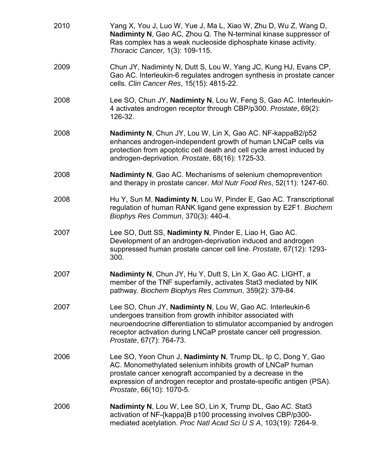| 2010 | Yang X, You J, Luo W, Yue J, Ma L, Xiao W, Zhu D, Wu Z, Wang D,<br>Nadiminty N, Gao AC, Zhou Q. The N-terminal kinase suppressor of<br>Ras complex has a weak nucleoside diphosphate kinase activity.<br>Thoracic Cancer, 1(3): 109-115.                                                           |
|------|----------------------------------------------------------------------------------------------------------------------------------------------------------------------------------------------------------------------------------------------------------------------------------------------------|
| 2009 | Chun JY, Nadiminty N, Dutt S, Lou W, Yang JC, Kung HJ, Evans CP,<br>Gao AC. Interleukin-6 regulates androgen synthesis in prostate cancer<br>cells. Clin Cancer Res, 15(15): 4815-22.                                                                                                              |
| 2008 | Lee SO, Chun JY, Nadiminty N, Lou W, Feng S, Gao AC. Interleukin-<br>4 activates androgen receptor through CBP/p300. Prostate, 69(2):<br>126-32.                                                                                                                                                   |
| 2008 | Nadiminty N, Chun JY, Lou W, Lin X, Gao AC. NF-kappaB2/p52<br>enhances androgen-independent growth of human LNCaP cells via<br>protection from apoptotic cell death and cell cycle arrest induced by<br>androgen-deprivation. Prostate, 68(16): 1725-33.                                           |
| 2008 | <b>Nadiminty N, Gao AC. Mechanisms of selenium chemoprevention</b><br>and therapy in prostate cancer. Mol Nutr Food Res, 52(11): 1247-60.                                                                                                                                                          |
| 2008 | Hu Y, Sun M, Nadiminty N, Lou W, Pinder E, Gao AC. Transcriptional<br>regulation of human RANK ligand gene expression by E2F1. Biochem<br>Biophys Res Commun, 370(3): 440-4.                                                                                                                       |
| 2007 | Lee SO, Dutt SS, Nadiminty N, Pinder E, Liao H, Gao AC.<br>Development of an androgen-deprivation induced and androgen<br>suppressed human prostate cancer cell line. Prostate, 67(12): 1293-<br>300.                                                                                              |
| 2007 | Nadiminty N, Chun JY, Hu Y, Dutt S, Lin X, Gao AC. LIGHT, a<br>member of the TNF superfamily, activates Stat3 mediated by NIK<br>pathway. Biochem Biophys Res Commun, 359(2): 379-84.                                                                                                              |
| 2007 | Lee SO, Chun JY, Nadiminty N, Lou W, Gao AC. Interleukin-6<br>undergoes transition from growth inhibitor associated with<br>neuroendocrine differentiation to stimulator accompanied by androgen<br>receptor activation during LNCaP prostate cancer cell progression.<br>Prostate, 67(7): 764-73. |
| 2006 | Lee SO, Yeon Chun J, Nadiminty N, Trump DL, Ip C, Dong Y, Gao<br>AC. Monomethylated selenium inhibits growth of LNCaP human<br>prostate cancer xenograft accompanied by a decrease in the<br>expression of androgen receptor and prostate-specific antigen (PSA).<br>Prostate, 66(10): 1070-5.     |
| 2006 | Nadiminty N, Lou W, Lee SO, Lin X, Trump DL, Gao AC. Stat3<br>activation of NF-{kappa}B p100 processing involves CBP/p300-<br>mediated acetylation. Proc Natl Acad Sci U S A, 103(19): 7264-9.                                                                                                     |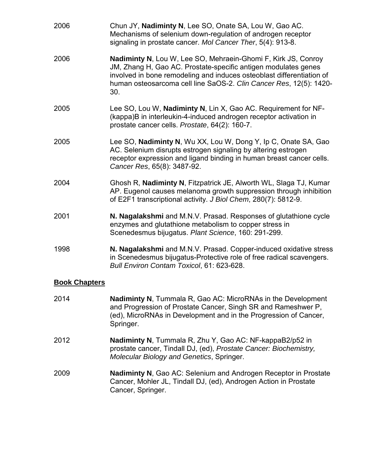| 2006 | Chun JY, Nadiminty N, Lee SO, Onate SA, Lou W, Gao AC.<br>Mechanisms of selenium down-regulation of androgen receptor<br>signaling in prostate cancer. Mol Cancer Ther, 5(4): 913-8.                                                                                                         |
|------|----------------------------------------------------------------------------------------------------------------------------------------------------------------------------------------------------------------------------------------------------------------------------------------------|
| 2006 | <b>Nadiminty N, Lou W, Lee SO, Mehraein-Ghomi F, Kirk JS, Conroy</b><br>JM, Zhang H, Gao AC. Prostate-specific antigen modulates genes<br>involved in bone remodeling and induces osteoblast differentiation of<br>human osteosarcoma cell line SaOS-2. Clin Cancer Res, 12(5): 1420-<br>30. |
| 2005 | Lee SO, Lou W, Nadiminty N, Lin X, Gao AC. Requirement for NF-<br>(kappa)B in interleukin-4-induced androgen receptor activation in<br>prostate cancer cells. Prostate, 64(2): 160-7.                                                                                                        |
| 2005 | Lee SO, Nadiminty N, Wu XX, Lou W, Dong Y, Ip C, Onate SA, Gao<br>AC. Selenium disrupts estrogen signaling by altering estrogen<br>receptor expression and ligand binding in human breast cancer cells.<br>Cancer Res, 65(8): 3487-92.                                                       |
| 2004 | Ghosh R, Nadiminty N, Fitzpatrick JE, Alworth WL, Slaga TJ, Kumar<br>AP. Eugenol causes melanoma growth suppression through inhibition<br>of E2F1 transcriptional activity. J Biol Chem, 280(7): 5812-9.                                                                                     |
| 2001 | N. Nagalakshmi and M.N.V. Prasad. Responses of glutathione cycle<br>enzymes and glutathione metabolism to copper stress in<br>Scenedesmus bijugatus. Plant Science, 160: 291-299.                                                                                                            |
| 1998 | N. Nagalakshmi and M.N.V. Prasad. Copper-induced oxidative stress<br>in Scenedesmus bijugatus-Protective role of free radical scavengers.<br>Bull Environ Contam Toxicol, 61: 623-628.                                                                                                       |

# **Book Chapters**

| 2014 | <b>Nadiminty N, Tummala R, Gao AC: MicroRNAs in the Development</b><br>and Progression of Prostate Cancer, Singh SR and Rameshwer P,<br>(ed), MicroRNAs in Development and in the Progression of Cancer,<br>Springer. |
|------|-----------------------------------------------------------------------------------------------------------------------------------------------------------------------------------------------------------------------|
| 2012 | Nadiminty N, Tummala R, Zhu Y, Gao AC: NF-kappaB2/p52 in<br>prostate cancer, Tindall DJ, (ed), Prostate Cancer: Biochemistry,<br>Molecular Biology and Genetics, Springer.                                            |
| 2009 | <b>Nadiminty N, Gao AC: Selenium and Androgen Receptor in Prostate</b><br>Cancer, Mohler JL, Tindall DJ, (ed), Androgen Action in Prostate<br>Cancer, Springer.                                                       |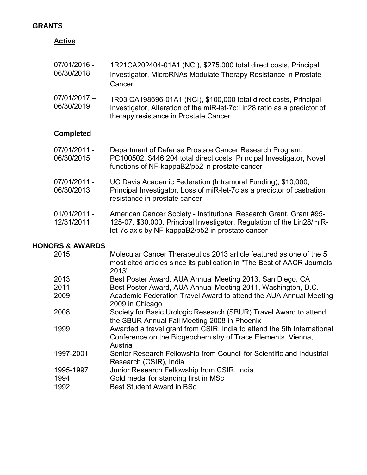#### **GRANTS**

## **Active**

| 07/01/2016 - | 1R21CA202404-01A1 (NCI), \$275,000 total direct costs, Principal |
|--------------|------------------------------------------------------------------|
| 06/30/2018   | Investigator, MicroRNAs Modulate Therapy Resistance in Prostate  |
|              | Cancer                                                           |

07/01/2017 – 06/30/2019 1R03 CA198696-01A1 (NCI), \$100,000 total direct costs, Principal Investigator, Alteration of the miR-let-7c:Lin28 ratio as a predictor of therapy resistance in Prostate Cancer

## **Completed**

| 07/01/2011 -<br>06/30/2015   | Department of Defense Prostate Cancer Research Program,<br>PC100502, \$446,204 total direct costs, Principal Investigator, Novel<br>functions of NF-kappaB2/p52 in prostate cancer               |
|------------------------------|--------------------------------------------------------------------------------------------------------------------------------------------------------------------------------------------------|
| $07/01/2011 -$<br>06/30/2013 | UC Davis Academic Federation (Intramural Funding), \$10,000,<br>Principal Investigator, Loss of miR-let-7c as a predictor of castration<br>resistance in prostate cancer                         |
| $01/01/2011 -$<br>12/31/2011 | American Cancer Society - Institutional Research Grant, Grant #95-<br>125-07, \$30,000, Principal Investigator, Regulation of the Lin28/miR-<br>let-7c axis by NF-kappaB2/p52 in prostate cancer |

## **HONORS & AWARDS**

| 2015      | Molecular Cancer Therapeutics 2013 article featured as one of the 5<br>most cited articles since its publication in "The Best of AACR Journals<br>2013" |
|-----------|---------------------------------------------------------------------------------------------------------------------------------------------------------|
| 2013      | Best Poster Award, AUA Annual Meeting 2013, San Diego, CA                                                                                               |
| 2011      | Best Poster Award, AUA Annual Meeting 2011, Washington, D.C.                                                                                            |
| 2009      | Academic Federation Travel Award to attend the AUA Annual Meeting<br>2009 in Chicago                                                                    |
| 2008      | Society for Basic Urologic Research (SBUR) Travel Award to attend<br>the SBUR Annual Fall Meeting 2008 in Phoenix                                       |
| 1999      | Awarded a travel grant from CSIR, India to attend the 5th International<br>Conference on the Biogeochemistry of Trace Elements, Vienna,<br>Austria      |
| 1997-2001 | Senior Research Fellowship from Council for Scientific and Industrial<br>Research (CSIR), India                                                         |
| 1995-1997 | Junior Research Fellowship from CSIR, India                                                                                                             |
| 1994      | Gold medal for standing first in MSc                                                                                                                    |
| 1992      | <b>Best Student Award in BSc</b>                                                                                                                        |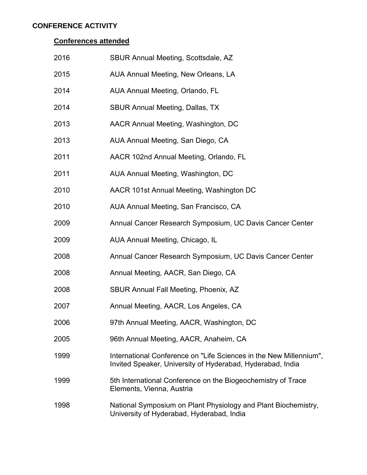## **CONFERENCE ACTIVITY**

# **Conferences attended**

| 2016 | SBUR Annual Meeting, Scottsdale, AZ                                                                                              |
|------|----------------------------------------------------------------------------------------------------------------------------------|
| 2015 | AUA Annual Meeting, New Orleans, LA                                                                                              |
| 2014 | AUA Annual Meeting, Orlando, FL                                                                                                  |
| 2014 | <b>SBUR Annual Meeting, Dallas, TX</b>                                                                                           |
| 2013 | AACR Annual Meeting, Washington, DC                                                                                              |
| 2013 | AUA Annual Meeting, San Diego, CA                                                                                                |
| 2011 | AACR 102nd Annual Meeting, Orlando, FL                                                                                           |
| 2011 | AUA Annual Meeting, Washington, DC                                                                                               |
| 2010 | AACR 101st Annual Meeting, Washington DC                                                                                         |
| 2010 | AUA Annual Meeting, San Francisco, CA                                                                                            |
| 2009 | Annual Cancer Research Symposium, UC Davis Cancer Center                                                                         |
| 2009 | AUA Annual Meeting, Chicago, IL                                                                                                  |
| 2008 | Annual Cancer Research Symposium, UC Davis Cancer Center                                                                         |
| 2008 | Annual Meeting, AACR, San Diego, CA                                                                                              |
| 2008 | SBUR Annual Fall Meeting, Phoenix, AZ                                                                                            |
| 2007 | Annual Meeting, AACR, Los Angeles, CA                                                                                            |
| 2006 | 97th Annual Meeting, AACR, Washington, DC                                                                                        |
| 2005 | 96th Annual Meeting, AACR, Anaheim, CA                                                                                           |
| 1999 | International Conference on "Life Sciences in the New Millennium",<br>Invited Speaker, University of Hyderabad, Hyderabad, India |
| 1999 | 5th International Conference on the Biogeochemistry of Trace<br>Elements, Vienna, Austria                                        |
| 1998 | National Symposium on Plant Physiology and Plant Biochemistry,<br>University of Hyderabad, Hyderabad, India                      |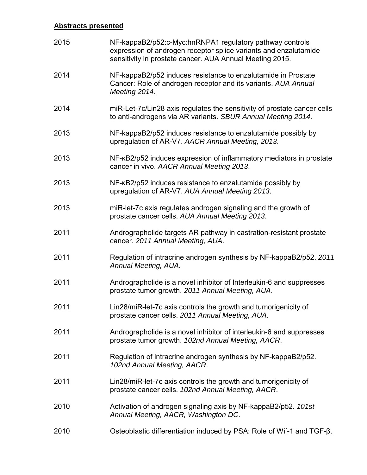#### **Abstracts presented**

| 2015 | NF-kappaB2/p52:c-Myc:hnRNPA1 regulatory pathway controls<br>expression of androgen receptor splice variants and enzalutamide<br>sensitivity in prostate cancer. AUA Annual Meeting 2015. |
|------|------------------------------------------------------------------------------------------------------------------------------------------------------------------------------------------|
| 2014 | NF-kappaB2/p52 induces resistance to enzalutamide in Prostate<br>Cancer: Role of androgen receptor and its variants. AUA Annual<br>Meeting 2014.                                         |
| 2014 | miR-Let-7c/Lin28 axis regulates the sensitivity of prostate cancer cells<br>to anti-androgens via AR variants. SBUR Annual Meeting 2014.                                                 |
| 2013 | NF-kappaB2/p52 induces resistance to enzalutamide possibly by<br>upregulation of AR-V7. AACR Annual Meeting, 2013.                                                                       |
| 2013 | NF-kB2/p52 induces expression of inflammatory mediators in prostate<br>cancer in vivo. AACR Annual Meeting 2013.                                                                         |
| 2013 | NF-KB2/p52 induces resistance to enzalutamide possibly by<br>upregulation of AR-V7. AUA Annual Meeting 2013.                                                                             |
| 2013 | miR-let-7c axis regulates androgen signaling and the growth of<br>prostate cancer cells. AUA Annual Meeting 2013.                                                                        |
| 2011 | Andrographolide targets AR pathway in castration-resistant prostate<br>cancer. 2011 Annual Meeting, AUA.                                                                                 |
| 2011 | Regulation of intracrine androgen synthesis by NF-kappaB2/p52. 2011<br>Annual Meeting, AUA.                                                                                              |
| 2011 | Andrographolide is a novel inhibitor of Interleukin-6 and suppresses<br>prostate tumor growth. 2011 Annual Meeting, AUA.                                                                 |
| 2011 | Lin28/miR-let-7c axis controls the growth and tumorigenicity of<br>prostate cancer cells. 2011 Annual Meeting, AUA.                                                                      |
| 2011 | Andrographolide is a novel inhibitor of interleukin-6 and suppresses<br>prostate tumor growth. 102nd Annual Meeting, AACR.                                                               |
| 2011 | Regulation of intracrine androgen synthesis by NF-kappaB2/p52.<br>102nd Annual Meeting, AACR.                                                                                            |
| 2011 | Lin28/miR-let-7c axis controls the growth and tumorigenicity of<br>prostate cancer cells. 102nd Annual Meeting, AACR.                                                                    |
| 2010 | Activation of androgen signaling axis by NF-kappaB2/p52. 101st<br>Annual Meeting, AACR, Washington DC.                                                                                   |
| 2010 | Osteoblastic differentiation induced by PSA: Role of Wif-1 and TGF-β.                                                                                                                    |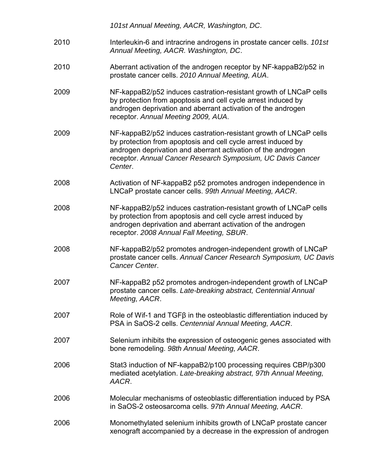*101st Annual Meeting, AACR, Washington, DC*.

- 2010 Interleukin-6 and intracrine androgens in prostate cancer cells. *101st Annual Meeting, AACR. Washington, DC*.
- 2010 Aberrant activation of the androgen receptor by NF-kappaB2/p52 in prostate cancer cells. *2010 Annual Meeting, AUA*.
- 2009 NF-kappaB2/p52 induces castration-resistant growth of LNCaP cells by protection from apoptosis and cell cycle arrest induced by androgen deprivation and aberrant activation of the androgen receptor. *Annual Meeting 2009, AUA*.
- 2009 NF-kappaB2/p52 induces castration-resistant growth of LNCaP cells by protection from apoptosis and cell cycle arrest induced by androgen deprivation and aberrant activation of the androgen receptor. *Annual Cancer Research Symposium, UC Davis Cancer Center*.
- 2008 Activation of NF-kappaB2 p52 promotes androgen independence in LNCaP prostate cancer cells. *99th Annual Meeting, AACR*.
- 2008 NF-kappaB2/p52 induces castration-resistant growth of LNCaP cells by protection from apoptosis and cell cycle arrest induced by androgen deprivation and aberrant activation of the androgen receptor. *2008 Annual Fall Meeting, SBUR*.
- 2008 NF-kappaB2/p52 promotes androgen-independent growth of LNCaP prostate cancer cells. *Annual Cancer Research Symposium, UC Davis Cancer Center*.
- 2007 NF-kappaB2 p52 promotes androgen-independent growth of LNCaP prostate cancer cells. *Late-breaking abstract, Centennial Annual Meeting, AACR*.
- 2007 Role of Wif-1 and TGFβ in the osteoblastic differentiation induced by PSA in SaOS-2 cells. *Centennial Annual Meeting, AACR*.
- 2007 Selenium inhibits the expression of osteogenic genes associated with bone remodeling. *98th Annual Meeting, AACR*.
- 2006 Stat3 induction of NF-kappaB2/p100 processing requires CBP/p300 mediated acetylation. *Late-breaking abstract, 97th Annual Meeting, AACR*.
- 2006 Molecular mechanisms of osteoblastic differentiation induced by PSA in SaOS-2 osteosarcoma cells. *97th Annual Meeting, AACR*.
- 2006 Monomethylated selenium inhibits growth of LNCaP prostate cancer xenograft accompanied by a decrease in the expression of androgen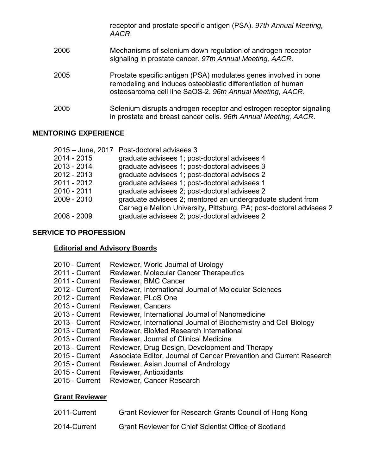receptor and prostate specific antigen (PSA). *97th Annual Meeting, AACR*.

| 2006 | Mechanisms of selenium down regulation of androgen receptor |
|------|-------------------------------------------------------------|
|      | signaling in prostate cancer. 97th Annual Meeting, AACR.    |

- 2005 Prostate specific antigen (PSA) modulates genes involved in bone remodeling and induces osteoblastic differentiation of human osteosarcoma cell line SaOS-2. *96th Annual Meeting, AACR*.
- 2005 Selenium disrupts androgen receptor and estrogen receptor signaling in prostate and breast cancer cells. *96th Annual Meeting, AACR*.

### **MENTORING EXPERIENCE**

|             | 2015 - June, 2017 Post-doctoral advisees 3                          |
|-------------|---------------------------------------------------------------------|
| 2014 - 2015 | graduate advisees 1; post-doctoral advisees 4                       |
| 2013 - 2014 | graduate advisees 1; post-doctoral advisees 3                       |
| 2012 - 2013 | graduate advisees 1; post-doctoral advisees 2                       |
| 2011 - 2012 | graduate advisees 1; post-doctoral advisees 1                       |
| 2010 - 2011 | graduate advisees 2; post-doctoral advisees 2                       |
| 2009 - 2010 | graduate advisees 2; mentored an undergraduate student from         |
|             | Carnegie Mellon University, Pittsburg, PA; post-doctoral advisees 2 |
| 2008 - 2009 | graduate advisees 2; post-doctoral advisees 2                       |

#### **SERVICE TO PROFESSION**

#### **Editorial and Advisory Boards**

| 2010 - Current | Reviewer, World Journal of Urology                                  |
|----------------|---------------------------------------------------------------------|
|                |                                                                     |
| 2011 - Current | <b>Reviewer, Molecular Cancer Therapeutics</b>                      |
| 2011 - Current | <b>Reviewer, BMC Cancer</b>                                         |
| 2012 - Current | Reviewer, International Journal of Molecular Sciences               |
| 2012 - Current | Reviewer, PLoS One                                                  |
| 2013 - Current | <b>Reviewer, Cancers</b>                                            |
| 2013 - Current | Reviewer, International Journal of Nanomedicine                     |
| 2013 - Current | Reviewer, International Journal of Biochemistry and Cell Biology    |
| 2013 - Current | Reviewer, BioMed Research International                             |
| 2013 - Current | <b>Reviewer, Journal of Clinical Medicine</b>                       |
| 2013 - Current | Reviewer, Drug Design, Development and Therapy                      |
| 2015 - Current | Associate Editor, Journal of Cancer Prevention and Current Research |
| 2015 - Current | Reviewer, Asian Journal of Andrology                                |
| 2015 - Current | <b>Reviewer, Antioxidants</b>                                       |
| 2015 - Current | Reviewer, Cancer Research                                           |
|                |                                                                     |

## **Grant Reviewer**

| 2011-Current<br>Grant Reviewer for Research Grants Council of Hong Kong |  |
|-------------------------------------------------------------------------|--|
|-------------------------------------------------------------------------|--|

2014-Current Grant Reviewer for Chief Scientist Office of Scotland